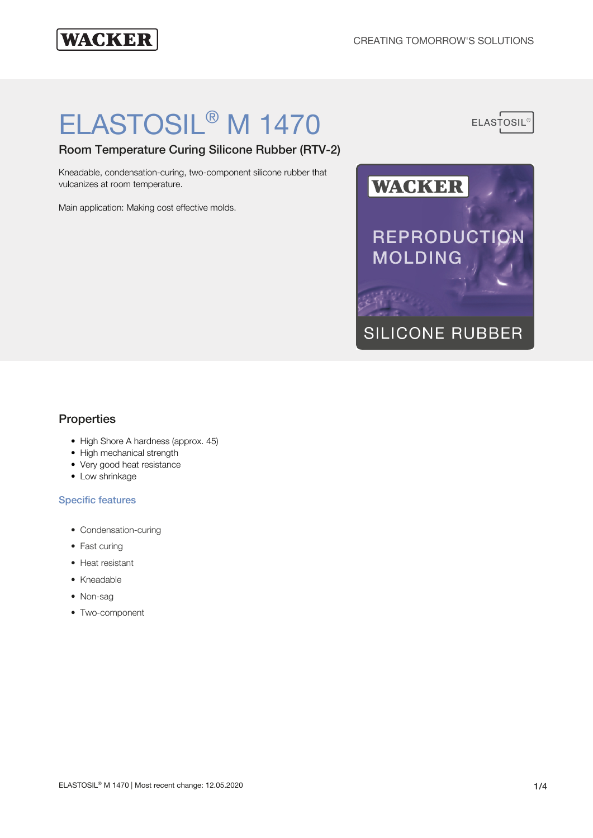# **WACKER**

# ELASTOSIL® M 1470

Room Temperature Curing Silicone Rubber (RTV-2)

Kneadable, condensation-curing, two-component silicone rubber that vulcanizes at room temperature.

Main application: Making cost effective molds.





# **Properties**

- High Shore A hardness (approx. 45)
- High mechanical strength
- Very good heat resistance
- Low shrinkage

#### Specific features

- Condensation-curing
- Fast curing
- Heat resistant
- Kneadable
- Non-sag
- Two-component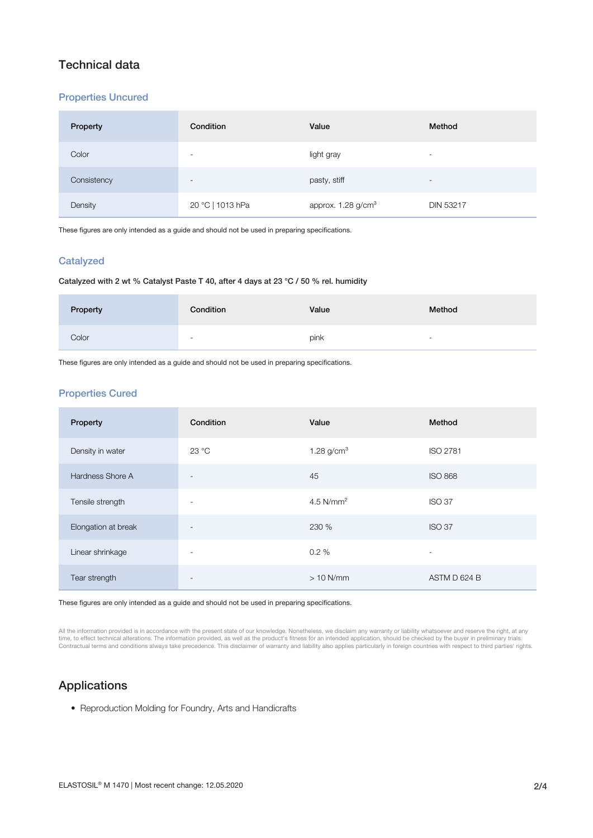# Technical data

#### Properties Uncured

| Property    | Condition                | Value                          | Method                   |
|-------------|--------------------------|--------------------------------|--------------------------|
| Color       | $\overline{\phantom{a}}$ | light gray                     | $\overline{\phantom{a}}$ |
| Consistency | $\overline{\phantom{a}}$ | pasty, stiff                   | $\overline{\phantom{a}}$ |
| Density     | 20 °C   1013 hPa         | approx. 1.28 g/cm <sup>3</sup> | <b>DIN 53217</b>         |

These figures are only intended as a guide and should not be used in preparing specifications.

#### **Catalyzed**

#### Catalyzed with 2 wt % Catalyst Paste T 40, after 4 days at 23 °C / 50 % rel. humidity

| Property | Condition | Value | Method                   |
|----------|-----------|-------|--------------------------|
| Color    | $\sim$    | pink  | $\overline{\phantom{a}}$ |

These figures are only intended as a guide and should not be used in preparing specifications.

#### Properties Cured

| Property            | Condition                | Value           | Method                   |
|---------------------|--------------------------|-----------------|--------------------------|
| Density in water    | 23 °C                    | 1.28 $g/cm^{3}$ | <b>ISO 2781</b>          |
| Hardness Shore A    | $\overline{\phantom{a}}$ | 45              | <b>ISO 868</b>           |
| Tensile strength    | $\overline{\phantom{a}}$ | 4.5 $N/mm2$     | <b>ISO 37</b>            |
| Elongation at break | $\overline{\phantom{a}}$ | 230 %           | <b>ISO 37</b>            |
| Linear shrinkage    | $\overline{\phantom{a}}$ | 0.2%            | $\overline{\phantom{a}}$ |
| Tear strength       |                          | $>10$ N/mm      | ASTM D 624 B             |

These figures are only intended as a guide and should not be used in preparing specifications.

All the information provided is in accordance with the present state of our knowledge. Nonetheless, we disclaim any warranty or liability whatsoever and reserve the right, at any time, to effect technical alterations. The information provided, as well as the product's fitness for an intended application, should be checked by the buyer in preliminary trials.<br>Contractual terms and conditions always t

# Applications

• Reproduction Molding for Foundry, Arts and Handicrafts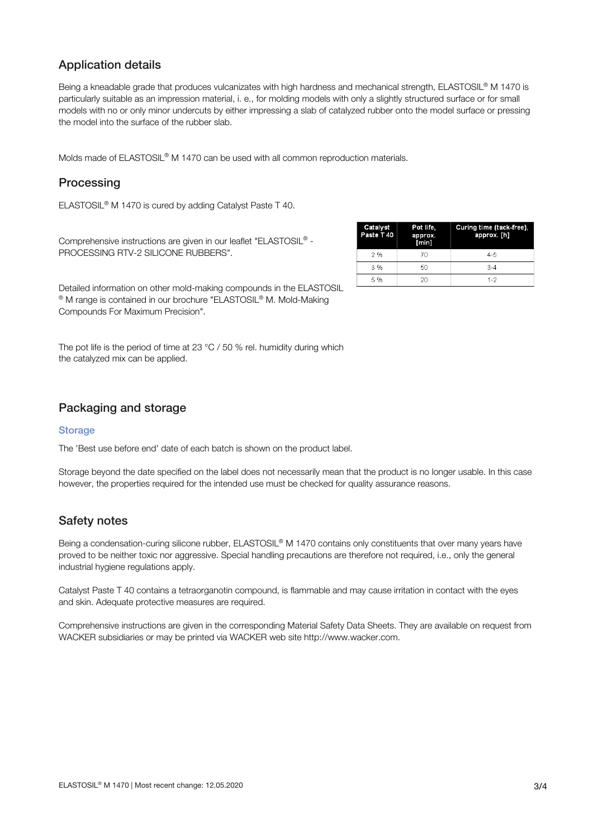# Application details

Being a kneadable grade that produces vulcanizates with high hardness and mechanical strength, ELASTOSIL® M 1470 is particularly suitable as an impression material, i. e., for molding models with only a slightly structured surface or for small models with no or only minor undercuts by either impressing a slab of catalyzed rubber onto the model surface or pressing the model into the surface of the rubber slab.

Molds made of ELASTOSIL® M 1470 can be used with all common reproduction materials.

# **Processing**

ELASTOSIL<sup>®</sup> M 1470 is cured by adding Catalyst Paste T 40.

Comprehensive instructions are given in our leaflet "ELASTOSIL® -PROCESSING RTV-2 SILICONE RUBBERS".

| Catalyst<br>Paste T 40 | Pot life,<br>approx.<br>[min] | Curing time (tack-free),<br>approx. [h] |
|------------------------|-------------------------------|-----------------------------------------|
| 2%                     | 70                            | $4 - 5$                                 |
| 3 %                    | 50                            | $3 - 4$                                 |
| 5%                     | 2Ω                            | $1 - 2$                                 |

Detailed information on other mold-making compounds in the ELASTOSIL ® M range is contained in our brochure "ELASTOSIL® M. Mold-Making Compounds For Maximum Precision".

The pot life is the period of time at 23 °C / 50 % rel. humidity during which the catalyzed mix can be applied.

## Packaging and storage

#### **Storage**

The 'Best use before end' date of each batch is shown on the product label.

Storage beyond the date specified on the label does not necessarily mean that the product is no longer usable. In this case however, the properties required for the intended use must be checked for quality assurance reasons.

### Safety notes

Being a condensation-curing silicone rubber, ELASTOSIL® M 1470 contains only constituents that over many years have proved to be neither toxic nor aggressive. Special handling precautions are therefore not required, i.e., only the general industrial hygiene regulations apply.

Catalyst Paste T 40 contains a tetraorganotin compound, is flammable and may cause irritation in contact with the eyes and skin. Adequate protective measures are required.

Comprehensive instructions are given in the corresponding Material Safety Data Sheets. They are available on request from WACKER subsidiaries or may be printed via WACKER web site http://www.wacker.com.